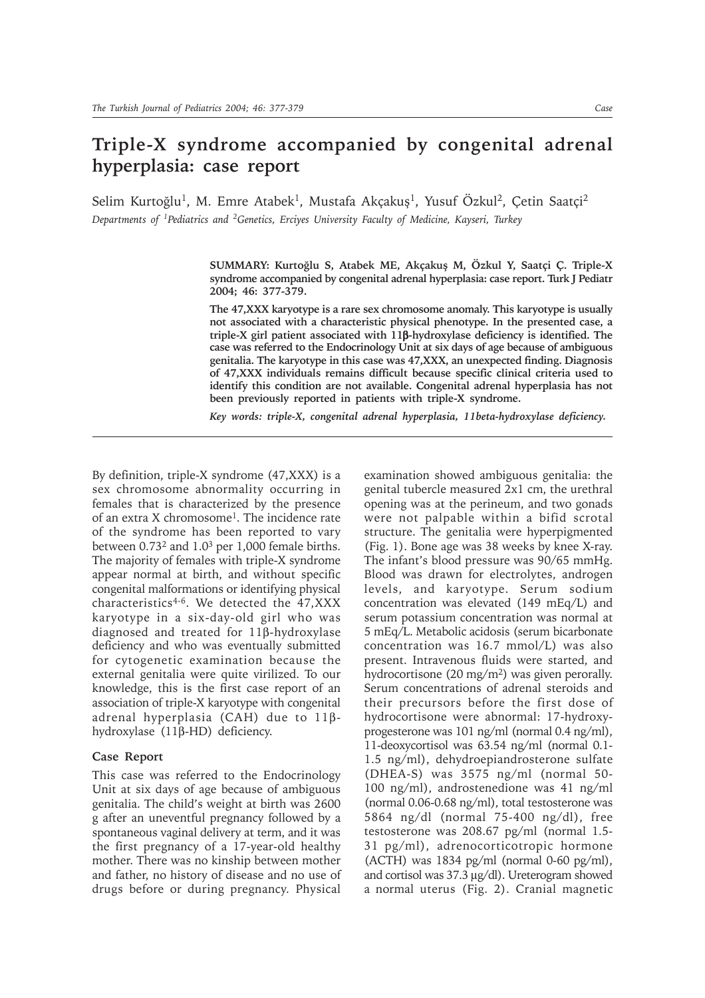# **Triple-X syndrome accompanied by congenital adrenal hyperplasia: case report**

Selim Kurtoğlu<sup>1</sup>, M. Emre Atabek<sup>1</sup>, Mustafa Akçakuş<sup>1</sup>, Yusuf Özkul<sup>2</sup>, Çetin Saatçi<sup>2</sup> *Departments of 1Pediatrics and 2Genetics, Erciyes University Faculty of Medicine, Kayseri, Turkey*

> SUMMARY: Kurtoğlu S, Atabek ME, Akçakuş M, Özkul Y, Saatçi Ç. Triple-X **syndrome accompanied by congenital adrenal hyperplasia: case report. Turk J Pediatr 2004; 46: 377-379.**

> **The 47,XXX karyotype is a rare sex chromosome anomaly. This karyotype is usually not associated with a characteristic physical phenotype. In the presented case, a triple-X girl patient associated with 11**β**-hydroxylase deficiency is identified. The case was referred to the Endocrinology Unit at six days of age because of ambiguous genitalia. The karyotype in this case was 47,XXX, an unexpected finding. Diagnosis of 47,XXX individuals remains difficult because specific clinical criteria used to identify this condition are not available. Congenital adrenal hyperplasia has not been previously reported in patients with triple-X syndrome.**

*Key words: triple-X, congenital adrenal hyperplasia, 11beta-hydroxylase deficiency.*

By definition, triple-X syndrome (47,XXX) is a sex chromosome abnormality occurring in females that is characterized by the presence of an extra X chromosome1. The incidence rate of the syndrome has been reported to vary between 0.732 and 1.03 per 1,000 female births. The majority of females with triple-X syndrome appear normal at birth, and without specific congenital malformations or identifying physical characteristics4-6. We detected the 47,XXX karyotype in a six-day-old girl who was diagnosed and treated for 11β-hydroxylase deficiency and who was eventually submitted for cytogenetic examination because the external genitalia were quite virilized. To our knowledge, this is the first case report of an association of triple-X karyotype with congenital adrenal hyperplasia (CAH) due to 11βhydroxylase (11β-HD) deficiency.

## **Case Report**

This case was referred to the Endocrinology Unit at six days of age because of ambiguous genitalia. The child's weight at birth was 2600 g after an uneventful pregnancy followed by a spontaneous vaginal delivery at term, and it was the first pregnancy of a 17-year-old healthy mother. There was no kinship between mother and father, no history of disease and no use of drugs before or during pregnancy. Physical

examination showed ambiguous genitalia: the genital tubercle measured 2x1 cm, the urethral opening was at the perineum, and two gonads were not palpable within a bifid scrotal structure. The genitalia were hyperpigmented (Fig. 1). Bone age was 38 weeks by knee X-ray. The infant's blood pressure was 90/65 mmHg. Blood was drawn for electrolytes, androgen levels, and karyotype. Serum sodium concentration was elevated (149 mEq/L) and serum potassium concentration was normal at 5 mEq/L. Metabolic acidosis (serum bicarbonate concentration was 16.7 mmol/L) was also present. Intravenous fluids were started, and hydrocortisone  $(20 \text{ mg/m}^2)$  was given perorally. Serum concentrations of adrenal steroids and their precursors before the first dose of hydrocortisone were abnormal: 17-hydroxyprogesterone was 101 ng/ml (normal 0.4 ng/ml), 11-deoxycortisol was 63.54 ng/ml (normal 0.1- 1.5 ng/ml), dehydroepiandrosterone sulfate (DHEA-S) was 3575 ng/ml (normal 50- 100 ng/ml), androstenedione was 41 ng/ml (normal 0.06-0.68 ng/ml), total testosterone was 5864 ng/dl (normal 75-400 ng/dl), free testosterone was 208.67 pg/ml (normal 1.5- 31 pg/ml), adrenocorticotropic hormone  $(ACTH)$  was 1834 pg/ml (normal 0-60 pg/ml), and cortisol was 37.3 µg/dl). Ureterogram showed a normal uterus (Fig. 2). Cranial magnetic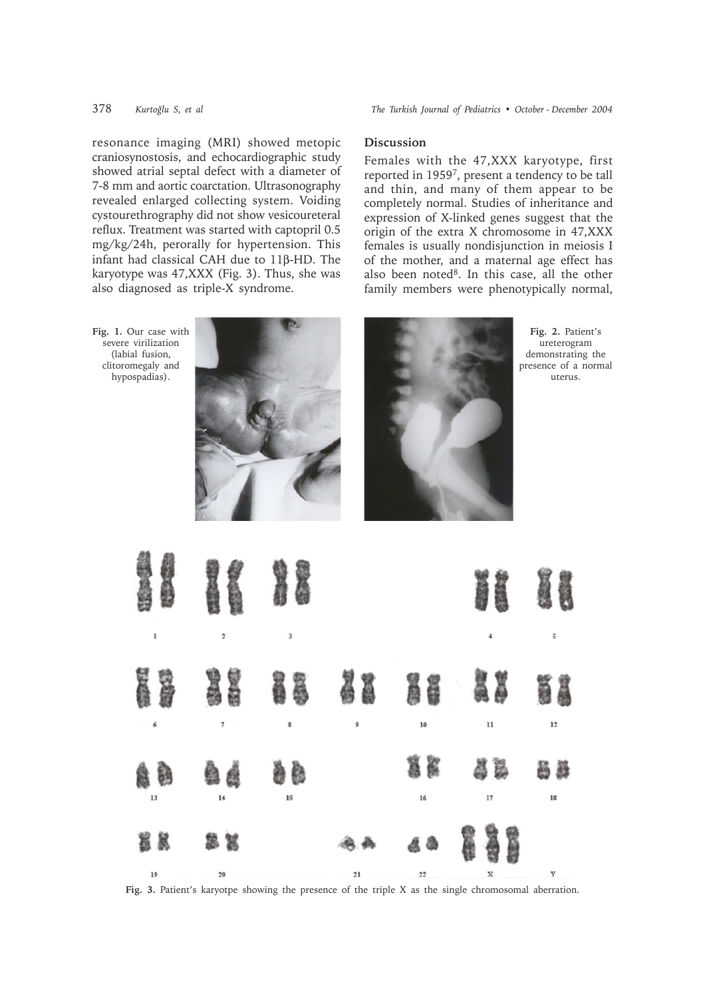378 *Kurtoðlu S, et al The Turkish Journal of Pediatrics ï October - December 2004*

resonance imaging (MRI) showed metopic craniosynostosis, and echocardiographic study showed atrial septal defect with a diameter of 7-8 mm and aortic coarctation. Ultrasonography revealed enlarged collecting system. Voiding cystourethrography did not show vesicoureteral reflux. Treatment was started with captopril 0.5 mg/kg/24h, perorally for hypertension. This infant had classical CAH due to 11β-HD. The karyotype was 47,XXX (Fig. 3). Thus, she was also diagnosed as triple-X syndrome.

### **Discussion**

Females with the 47,XXX karyotype, first reported in 19597, present a tendency to be tall and thin, and many of them appear to be completely normal. Studies of inheritance and expression of X-linked genes suggest that the origin of the extra X chromosome in 47,XXX females is usually nondisjunction in meiosis I of the mother, and a maternal age effect has also been noted<sup>8</sup>. In this case, all the other family members were phenotypically normal,



Fig. 3. Patient's karyotpe showing the presence of the triple X as the single chromosomal aberration.